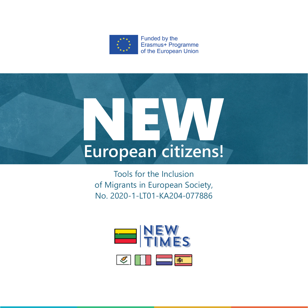

# **European citizens!**

Tools for the Inclusion of Migrants in European Society, No. 2020-1-LT01-KA204-077886

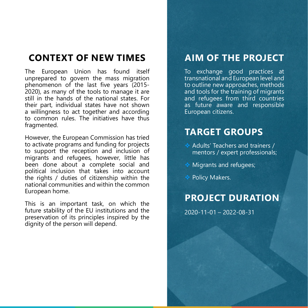## **CONTEXT OF NEW TIMES**

The European Union has found itself unprepared to govern the mass migration phenomenon of the last five years (2015- 2020), as many of the tools to manage it are still in the hands of the national states. For their part, individual states have not shown a willingness to act together and according to common rules. The initiatives have thus fragmented.

However, the European Commission has tried to activate programs and funding for projects to support the reception and inclusion of migrants and refugees, however, little has been done about a complete social and political inclusion that takes into account the rights / duties of citizenship within the national communities and within the common European home.

This is an important task, on which the future stability of the EU institutions and the preservation of its principles inspired by the dignity of the person will depend.

#### **AIM OF THE PROJECT**

To exchange good practices at transnational and European level and to outline new approaches, methods and tools for the training of migrants and refugees from third countries as future aware and responsible European citizens.

## **TARGET GROUPS**

- Adults' Teachers and trainers / mentors / expert professionals;
- Migrants and refugees;
- ◆ Policy Makers.

#### **PROJECT DURATION**

2020-11-01 – 2022-08-31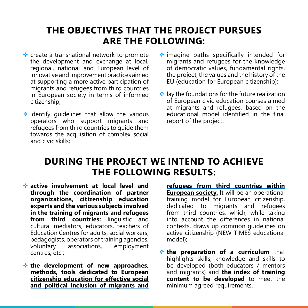## **THE OBJECTIVES THAT THE PROJECT PURSUES ARE THE FOLLOWING:**

- ❖ create a transnational network to promote the development and exchange at local, regional, national and European level of innovative and improvement practices aimed at supporting a more active participation of migrants and refugees from third countries in European society in terms of informed citizenship;
- $\leftrightarrow$  identify quidelines that allow the various operators who support migrants and refugees from third countries to quide them towards the acquisition of complex social and civic skills;
- imagine paths specifically intended for migrants and refugees for the knowledge of democratic values, fundamental rights, the project, the values and the history of the EU (education for European citizenship);
- $\cdot$  lay the foundations for the future realization of European civic education courses aimed at migrants and refugees, based on the educational model identified in the final report of the project.

#### **DURING THE PROJECT WE INTEND TO ACHIEVE THE FOLLOWING RESULTS:**

- **active involvement at local level and through the coordination of partner organizations, citizenship education experts and the various subjects involved in the training of migrants and refugees**  from third countries: linguistic and cultural mediators, educators, teachers of Education Centres for adults, social workers, pedagogists, operators of training agencies, voluntary associations, employment centres, etc.;
- **the development of new approaches, [methods, tools dedicated to European](https://www.kpmpc.lt/kpmpc/wp-content/uploads/2021/03/Overall-synthesis-of-National-Reports-with-collection-of-good-practices-on-the-transmission.pdf)  [citizenship education for effective social](https://www.kpmpc.lt/kpmpc/wp-content/uploads/2021/03/Overall-synthesis-of-National-Reports-with-collection-of-good-practices-on-the-transmission.pdf)  [and political inclusion of migrants and](https://www.kpmpc.lt/kpmpc/wp-content/uploads/2021/03/Overall-synthesis-of-National-Reports-with-collection-of-good-practices-on-the-transmission.pdf)**

**[refugees from third countries within](https://www.kpmpc.lt/kpmpc/wp-content/uploads/2021/03/Overall-synthesis-of-National-Reports-with-collection-of-good-practices-on-the-transmission.pdf) [European society.](https://www.kpmpc.lt/kpmpc/wp-content/uploads/2021/03/Overall-synthesis-of-National-Reports-with-collection-of-good-practices-on-the-transmission.pdf)** It will be an operational training model for European citizenship, dedicated to migrants and refugees from third countries, which, while taking into account the differences in national contexts, draws up common guidelines on active citizenship (NEW TIMES educational model);

**the preparation of a curriculum** that highlights skills, knowledge and skills to be developed (both educators / mentors and migrants) and **the index of training content to be developed** to meet the minimum agreed requirements.